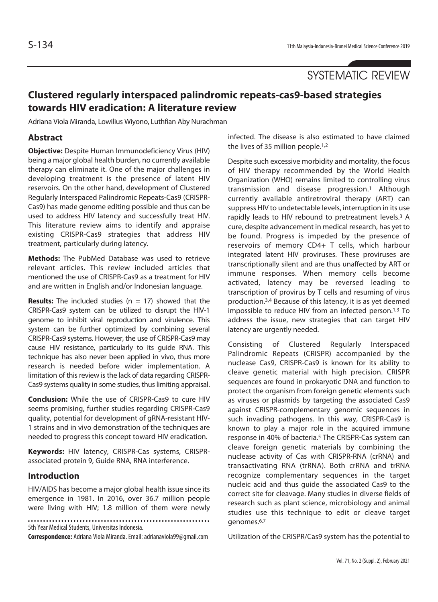SYSTEMATIC REVIEW

# **Clustered regularly interspaced palindromic repeats-cas9-based strategies towards HIV eradication: A literature review**

Adriana Viola Miranda, Lowilius Wiyono, Luthfian Aby Nurachman

## **Abstract**

**Objective:** Despite Human Immunodeficiency Virus (HIV) being a major global health burden, no currently available therapy can eliminate it. One of the major challenges in developing treatment is the presence of latent HIV reservoirs. On the other hand, development of Clustered Regularly Interspaced Palindromic Repeats-Cas9 (CRISPR-Cas9) has made genome editing possible and thus can be used to address HIV latency and successfully treat HIV. This literature review aims to identify and appraise existing CRISPR-Cas9 strategies that address HIV treatment, particularly during latency.

**Methods:** The PubMed Database was used to retrieve relevant articles. This review included articles that mentioned the use of CRISPR-Cas9 as a treatment for HIV and are written in English and/or Indonesian language.

**Results:** The included studies (n = 17) showed that the CRISPR-Cas9 system can be utilized to disrupt the HIV-1 genome to inhibit viral reproduction and virulence. This system can be further optimized by combining several CRISPR-Cas9 systems. However, the use of CRISPR-Cas9 may cause HIV resistance, particularly to its guide RNA. This technique has also never been applied in vivo, thus more research is needed before wider implementation. A limitation of this review is the lack of data regarding CRISPR-Cas9 systems quality in some studies, thus limiting appraisal.

**Conclusion:** While the use of CRISPR-Cas9 to cure HIV seems promising, further studies regarding CRISPR-Cas9 quality, potential for development of gRNA-resistant HIV-1 strains and in vivo demonstration of the techniques are needed to progress this concept toward HIV eradication.

**Keywords:** HIV latency, CRISPR-Cas systems, CRISPRassociated protein 9, Guide RNA, RNA interference.

## **Introduction**

HIV/AIDS has become a major global health issue since its emergence in 1981. In 2016, over 36.7 million people were living with HIV; 1.8 million of them were newly

5th Year Medical Students, Universitas Indonesia.

**Correspondence:** Adriana Viola Miranda. Email: adrianaviola99@gmail.com

infected. The disease is also estimated to have claimed the lives of 35 million people.<sup>1,2</sup>

Despite such excessive morbidity and mortality, the focus of HIV therapy recommended by the World Health Organization (WHO) remains limited to controlling virus transmission and disease progression.1 Although currently available antiretroviral therapy (ART) can suppress HIV to undetectable levels, interruption in its use rapidly leads to HIV rebound to pretreatment levels.3 A cure, despite advancement in medical research, has yet to be found. Progress is impeded by the presence of reservoirs of memory CD4+ T cells, which harbour integrated latent HIV proviruses. These proviruses are transcriptionally silent and are thus unaffected by ART or immune responses. When memory cells become activated, latency may be reversed leading to transcription of provirus by T cells and resuming of virus production.3,4 Because of this latency, it is as yet deemed impossible to reduce HIV from an infected person.1,3 To address the issue, new strategies that can target HIV latency are urgently needed.

Consisting of Clustered Regularly Interspaced Palindromic Repeats (CRISPR) accompanied by the nuclease Cas9, CRISPR-Cas9 is known for its ability to cleave genetic material with high precision. CRISPR sequences are found in prokaryotic DNA and function to protect the organism from foreign genetic elements such as viruses or plasmids by targeting the associated Cas9 against CRISPR-complementary genomic sequences in such invading pathogens. In this way, CRISPR-Cas9 is known to play a major role in the acquired immune response in 40% of bacteria.5 The CRISPR-Cas system can cleave foreign genetic materials by combining the nuclease activity of Cas with CRISPR-RNA (crRNA) and transactivating RNA (trRNA). Both crRNA and trRNA recognize complementary sequences in the target nucleic acid and thus guide the associated Cas9 to the correct site for cleavage. Many studies in diverse fields of research such as plant science, microbiology and animal studies use this technique to edit or cleave target genomes.6,7

Utilization of the CRISPR/Cas9 system has the potential to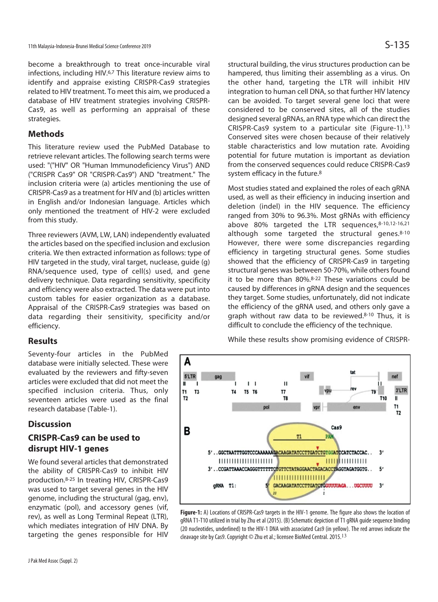become a breakthrough to treat once-incurable viral infections, including HIV.6,7 This literature review aims to identify and appraise existing CRISPR-Cas9 strategies related to HIV treatment. To meet this aim, we produced a database of HIV treatment strategies involving CRISPR-Cas9, as well as performing an appraisal of these strategies.

## **Methods**

This literature review used the PubMed Database to retrieve relevant articles. The following search terms were used: "("HIV" OR "Human Immunodeficiency Virus") AND ("CRISPR Cas9" OR "CRISPR-Cas9") AND "treatment." The inclusion criteria were (a) articles mentioning the use of CRISPR-Cas9 as a treatment for HIV and (b) articles written in English and/or Indonesian language. Articles which only mentioned the treatment of HIV-2 were excluded from this study.

Three reviewers (AVM, LW, LAN) independently evaluated the articles based on the specified inclusion and exclusion criteria. We then extracted information as follows: type of HIV targeted in the study, viral target, nuclease, guide (g) RNA/sequence used, type of cell(s) used, and gene delivery technique. Data regarding sensitivity, specificity and efficiency were also extracted. The data were put into custom tables for easier organization as a database. Appraisal of the CRISPR-Cas9 strategies was based on data regarding their sensitivity, specificity and/or efficiency.

## **Results**

Seventy-four articles in the PubMed database were initially selected. These were evaluated by the reviewers and fifty-seven articles were excluded that did not meet the specified inclusion criteria. Thus, only seventeen articles were used as the final research database (Table-1).

## **Discussion**

## **CRISPR-Cas9 can be used to disrupt HIV-1 genes**

We found several articles that demonstrated the ability of CRISPR-Cas9 to inhibit HIV production.8-25 In treating HIV, CRISPR-Cas9 was used to target several genes in the HIV genome, including the structural (gag, env), enzymatic (pol), and accessory genes (vif, rev), as well as Long Terminal Repeat (LTR), which mediates integration of HIV DNA. By targeting the genes responsible for HIV structural building, the virus structures production can be hampered, thus limiting their assembling as a virus. On the other hand, targeting the LTR will inhibit HIV integration to human cell DNA, so that further HIV latency can be avoided. To target several gene loci that were considered to be conserved sites, all of the studies designed several gRNAs, an RNA type which can direct the CRISPR-Cas9 system to a particular site (Figure-1).13 Conserved sites were chosen because of their relatively stable characteristics and low mutation rate. Avoiding potential for future mutation is important as deviation from the conserved sequences could reduce CRISPR-Cas9 system efficacy in the future.<sup>8</sup>

Most studies stated and explained the roles of each gRNA used, as well as their efficiency in inducing insertion and deletion (indel) in the HIV sequence. The efficiency ranged from 30% to 96.3%. Most gRNAs with efficiency above 80% targeted the LTR sequences, 8-10,12-16,21 although some targeted the structural genes.8-10 However, there were some discrepancies regarding efficiency in targeting structural genes. Some studies showed that the efficiency of CRISPR-Cas9 in targeting structural genes was between 50-70%, while others found it to be more than 80%.8-22 These variations could be caused by differences in gRNA design and the sequences they target. Some studies, unfortunately, did not indicate the efficiency of the gRNA used, and others only gave a graph without raw data to be reviewed.8-10 Thus, it is difficult to conclude the efficiency of the technique.

While these results show promising evidence of CRISPR-



**Figure-1:** A) Locations of CRISPR-Cas9 targets in the HIV-1 genome. The figure also shows the location of gRNA T1-T10 utilized in trial by Zhu et al (2015). (B) Schematic depiction of T1 gRNA guide sequence binding (20 nucleotides, underlined) to the HIV-1 DNA with associated Cas9 (in yellow). The red arrows indicate the cleavage site by Cas9. Copyright © Zhu et al.; licensee BioMed Central. 2015.<sup>13</sup>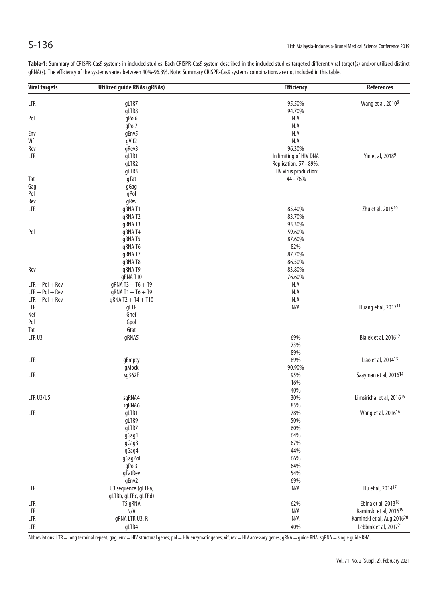| <b>Viral targets</b> | <b>Utilized guide RNAs (gRNAs)</b> | <b>Efficiency</b>      | <b>References</b>                     |
|----------------------|------------------------------------|------------------------|---------------------------------------|
|                      |                                    |                        |                                       |
| LTR                  | gLTR7                              | 95.50%                 | Wang et al, 2010 <sup>8</sup>         |
|                      | gLTR8                              | 94.70%                 |                                       |
| Pol                  | gPol6                              | N.A                    |                                       |
|                      | gPol7                              | N.A                    |                                       |
| Env                  | gEnv5                              | N.A                    |                                       |
| Vif                  | gVif2                              | N.A                    |                                       |
| Rev                  | gRev3                              | 96.30%                 |                                       |
| LTR                  | gLTR1                              | In limiting of HIV DNA | Yin et al, 2018 <sup>9</sup>          |
|                      | gLTR2                              | Replication: 57 - 89%; |                                       |
|                      | gLTR3                              | HIV virus production:  |                                       |
| Tat                  | gTat                               | 44 - 76%               |                                       |
| Gag                  | gGag                               |                        |                                       |
| Pol                  | gPol                               |                        |                                       |
| Rev                  | gRev                               |                        |                                       |
| LTR                  | gRNA T1                            | 85.40%                 | Zhu et al, 2015 <sup>10</sup>         |
|                      | gRNAT2                             | 83.70%                 |                                       |
|                      | gRNAT3                             | 93.30%                 |                                       |
| Pol                  | gRNA T4                            | 59.60%                 |                                       |
|                      | gRNA T5                            | 87.60%                 |                                       |
|                      | gRNA T6                            | 82%                    |                                       |
|                      |                                    |                        |                                       |
|                      | gRNA T7                            | 87.70%                 |                                       |
|                      | gRNA T8                            | 86.50%                 |                                       |
| Rev                  | gRNAT9                             | 83.80%                 |                                       |
|                      | gRNA T10                           | 76.60%                 |                                       |
| $LTR + Pol + Rev$    | $qRNA T3 + T6 + T9$                | N.A                    |                                       |
| $LTR + Pol + Rev$    | $gRNA T1 + T6 + T9$                | N.A                    |                                       |
| $LTR + Pol + Rev$    | $gRNA T2 + T4 + T10$               | N.A                    |                                       |
| LTR                  | gLTR                               | N/A                    | Huang et al, 2017 <sup>11</sup>       |
| Nef                  | Gnef                               |                        |                                       |
| Pol                  | Gpol                               |                        |                                       |
| Tat                  | Gtat                               |                        |                                       |
| LTRU3                | gRNA5                              | 69%                    | Bialek et al, 2016 <sup>12</sup>      |
|                      |                                    | 73%                    |                                       |
|                      |                                    | 89%                    |                                       |
| LTR                  | gEmpty                             | 89%                    | Liao et al, 2014 <sup>13</sup>        |
|                      | gMock                              | 90.90%                 |                                       |
| LTR                  | sg362F                             | 95%                    | Saayman et al, 2016 <sup>14</sup>     |
|                      |                                    | 16%                    |                                       |
|                      |                                    | 40%                    |                                       |
| <b>LTR U3/U5</b>     | sgRNA4                             | 30%                    | Limsirichai et al, 2016 <sup>15</sup> |
|                      | sgRNA6                             | 85%                    |                                       |
| LTR                  | gLTR1                              | 78%                    | Wang et al, 2016 <sup>16</sup>        |
|                      | gLTR9                              | 50%                    |                                       |
|                      | gLTR7                              | 60%                    |                                       |
|                      | gGag1                              | 64%                    |                                       |
|                      | gGag3                              | 67%                    |                                       |
|                      | gGag4                              | 44%                    |                                       |
|                      | gGagPol                            | 66%                    |                                       |
|                      |                                    |                        |                                       |
|                      | gPol3                              | 64%                    |                                       |
|                      | gTatRev                            | 54%                    |                                       |
|                      | gEnv2                              | 69%                    |                                       |
| LTR                  | U3 sequence (gLTRa,                | N/A                    | Hu et al, 2014 <sup>17</sup>          |
|                      | gLTRb, gLTRc, gLTRd)               |                        |                                       |
| LTR                  | T5 gRNA                            | 62%                    | Ebina et al, 2013 <sup>18</sup>       |
| LTR                  | N/A                                | N/A                    | Kaminski et al, 2016 <sup>19</sup>    |
| LTR                  | gRNA LTR U3, R                     | N/A                    | Kaminski et al, Aug 201620            |
| LTR                  | gLTR4                              | 40%                    | Lebbink et al, 201721                 |

**Table-1:** Summary of CRISPR-Cas9 systems in included studies. Each CRISPR-Cas9 system described in the included studies targeted different viral target(s) and/or utilized distinct gRNA(s). The efficiency of the systems varies between 40%-96.3%. Note: Summary CRISPR-Cas9 systems combinations are not included in this table.

Abbreviations: LTR = long terminal repeat; gag, env = HIV structural genes; pol = HIV enzymatic genes; vif, rev = HIV accessory genes; gRNA = guide RNA; sgRNA = single guide RNA.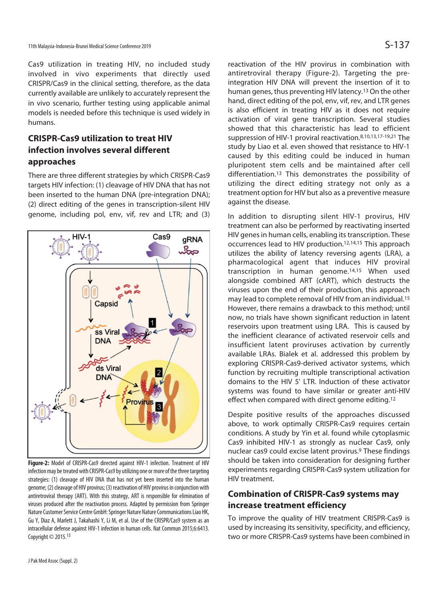Cas9 utilization in treating HIV, no included study involved in vivo experiments that directly used CRISPR/Cas9 in the clinical setting, therefore, as the data currently available are unlikely to accurately represent the in vivo scenario, further testing using applicable animal models is needed before this technique is used widely in humans.

## **CRISPR-Cas9 utilization to treat HIV infection involves several different approaches**

There are three different strategies by which CRISPR-Cas9 targets HIV infection: (1) cleavage of HIV DNA that has not been inserted to the human DNA (pre-integration DNA); (2) direct editing of the genes in transcription-silent HIV genome, including pol, env, vif, rev and LTR; and (3)



**Figure-2:** Model of CRISPR-Cas9 directed against HIV-1 infection. Treatment of HIV infection may be treated with CRISPR-Cas9 by utilizing one or more of the three targeting strategies: (1) cleavage of HIV DNA that has not yet been inserted into the human genome; (2) cleavage of HIV provirus; (3) reactivation of HIV provirus in conjunction with antiretroviral therapy (ART). With this strategy, ART is responsible for elimination of viruses produced after the reactivation process. Adapted by permission from Springer Nature Customer Service Centre GmbH: Springer Nature Nature Communications Liao HK, Gu Y, Diaz A, Marlett J, Takahashi Y, Li M, et al. Use of the CRISPR/Cas9 system as an intracellular defense against HIV-1 infection in human cells. Nat Commun 2015;6:6413. Copyright  $\odot$  2015.<sup>13</sup>

reactivation of the HIV provirus in combination with antiretroviral therapy (Figure-2). Targeting the preintegration HIV DNA will prevent the insertion of it to human genes, thus preventing HIV latency.13 On the other hand, direct editing of the pol, env, vif, rev, and LTR genes is also efficient in treating HIV as it does not require activation of viral gene transcription. Several studies showed that this characteristic has lead to efficient suppression of HIV-1 proviral reactivation.8,10,13,17-19,21 The study by Liao et al. even showed that resistance to HIV-1 caused by this editing could be induced in human pluripotent stem cells and be maintained after cell differentiation.13 This demonstrates the possibility of utilizing the direct editing strategy not only as a treatment option for HIV but also as a preventive measure against the disease.

In addition to disrupting silent HIV-1 provirus, HIV treatment can also be performed by reactivating inserted HIV genes in human cells, enabling its transcription. These occurrences lead to HIV production.12,14,15 This approach utilizes the ability of latency reversing agents (LRA), a pharmacological agent that induces HIV proviral transcription in human genome.14,15 When used alongside combined ART (cART), which destructs the viruses upon the end of their production, this approach may lead to complete removal of HIV from an individual.15 However, there remains a drawback to this method; until now, no trials have shown significant reduction in latent reservoirs upon treatment using LRA. This is caused by the inefficient clearance of activated reservoir cells and insufficient latent proviruses activation by currently available LRAs. Bialek et al. addressed this problem by exploring CRISPR-Cas9-derived activator systems, which function by recruiting multiple transcriptional activation domains to the HIV 5' LTR. Induction of these activator systems was found to have similar or greater anti-HIV effect when compared with direct genome editing.12

Despite positive results of the approaches discussed above, to work optimally CRISPR-Cas9 requires certain conditions. A study by Yin et al. found while cytoplasmic Cas9 inhibited HIV-1 as strongly as nuclear Cas9, only nuclear cas9 could excise latent provirus.9 These findings should be taken into consideration for designing further experiments regarding CRISPR-Cas9 system utilization for HIV treatment.

## **Combination of CRISPR-Cas9 systems may increase treatment efficiency**

To improve the quality of HIV treatment CRISPR-Cas9 is used by increasing its sensitivity, specificity, and efficiency, two or more CRISPR-Cas9 systems have been combined in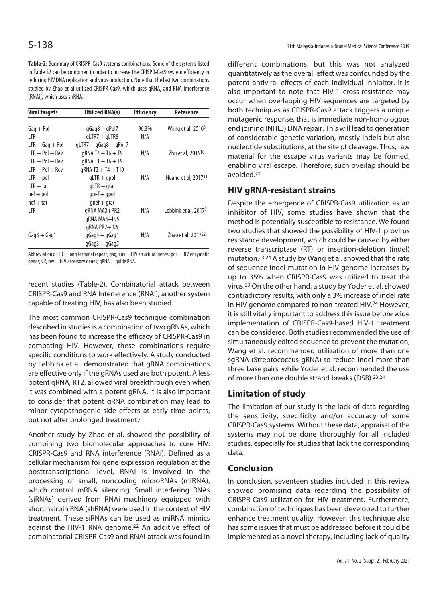**Table-2:** Summary of CRISPR-Cas9 systems combinations. Some of the systems listed in Table S2 can be combined in order to increase the CRISPR-Cas9 system efficiency in reducing HIV DNA replication and virus production. Note that the last two combinations studied by Zhao et al utilized CRISPR-Cas9, which uses gRNA, and RNA interference (RNAi), which uses shRNA.

| <b>Viral targets</b> | <b>Utilized RNA(s)</b>  | <b>Efficiency</b> | <b>Reference</b>                  |
|----------------------|-------------------------|-------------------|-----------------------------------|
| $Gaq + Pol$          | $qGaq8 + qPol7$         | 96.3%             | Wang et al, 2010 <sup>8</sup>     |
| LTR                  | $qLTR7 + qLTR8$         | N/A               |                                   |
| $LTR + Gaq + Pol$    | $qLTR7 + qGaq8 + qPol7$ |                   |                                   |
| $LTR + Pol + Rev$    | $qRNA T3 + T6 + T9$     | N/A               | Zhu et al, 2015 <sup>10</sup>     |
| $LTR + Pol + Rev$    | $qRNA T1 + T6 + T9$     |                   |                                   |
| $LTR + Pol + Rev$    | $qRNA T2 + T4 + T10$    |                   |                                   |
| $LTR + pol$          | $qLTR + qpol$           | N/A               | Huang et al, 2017 <sup>11</sup>   |
| $LTR + \text{tat}$   | $qLTR + qtat$           |                   |                                   |
| $nef + pol$          | $qnef + qpol$           |                   |                                   |
| $nef + ta$           | $qnef + qta$ t          |                   |                                   |
| LTR                  | gRNA MA3+PR2            | N/A               | Lebbink et al, 2017 <sup>21</sup> |
|                      | gRNA MA3+IN5            |                   |                                   |
|                      | gRNA PR2+IN5            |                   |                                   |
| $Gaq3 + Gaq1$        | $qGaq3 + qGaq1$         | N/A               | Zhao et al. 2017 <sup>22</sup>    |
|                      | $qGaq3 + qGaq5$         |                   |                                   |

Abbreviations: LTR = long terminal repeat; gag, env = HIV structural genes; pol = HIV enzymatic genes; vif, rev = HIV accessory genes;  $qRNA =$  guide RNA.

recent studies (Table-2). Combinatorial attack between CRISPR-Cas9 and RNA Interference (RNAi), another system capable of treating HIV, has also been studied.

The most common CRISPR-Cas9 technique combination described in studies is a combination of two gRNAs, which has been found to increase the efficacy of CRISPR-Cas9 in combating HIV. However, these combinations require specific conditions to work effectively. A study conducted by Lebbink et al. demonstrated that gRNA combinations are effective only if the gRNAs used are both potent. A less potent gRNA, RT2, allowed viral breakthrough even when it was combined with a potent gRNA. It is also important to consider that potent gRNA combination may lead to minor cytopathogenic side effects at early time points, but not after prolonged treatment.<sup>21</sup>

Another study by Zhao et al. showed the possibility of combining two biomolecular approaches to cure HIV: CRISPR-Cas9 and RNA interference (RNAi). Defined as a cellular mechanism for gene expression regulation at the posttranscriptional level, RNAi is involved in the processing of small, noncoding microRNAs (miRNA), which control mRNA silencing. Small interfering RNAs (siRNAs) derived from RNAi machinery equipped with short hairpin RNA (shRNA) were used in the context of HIV treatment. These siRNAs can be used as miRNA mimics against the HIV-1 RNA genome.<sup>22</sup> An additive effect of combinatorial CRISPR-Cas9 and RNAi attack was found in

different combinations, but this was not analyzed quantitatively as the overall effect was confounded by the potent antiviral effects of each individual inhibitor. It is also important to note that HIV-1 cross-resistance may occur when overlapping HIV sequences are targeted by both techniques as CRISPR-Cas9 attack triggers a unique mutagenic response, that is immediate non-homologous end joining (NHEJ) DNA repair. This will lead to generation of considerable genetic variation, mostly indels but also nucleotide substitutions, at the site of cleavage. Thus, raw material for the escape virus variants may be formed, enabling viral escape. Therefore, such overlap should be avoided.22

### **HIV gRNA-resistant strains**

Despite the emergence of CRISPR-Cas9 utilization as an inhibitor of HIV, some studies have shown that the method is potentially susceptible to resistance. We found two studies that showed the possibility of HIV-1 provirus resistance development, which could be caused by either reverse transcriptase (RT) or insertion-deletion (indel) mutation.23,24 A study by Wang et al. showed that the rate of sequence indel mutation in HIV genome increases by up to 35% when CRISPR-Cas9 was utilized to treat the virus.23 On the other hand, a study by Yoder et al. showed contradictory results, with only a 3% increase of indel rate in HIV genome compared to non-treated HIV.<sup>24</sup> However, it is still vitally important to address this issue before wide implementation of CRISPR-Cas9-based HIV-1 treatment can be considered. Both studies recommended the use of simultaneously edited sequence to prevent the mutation; Wang et al. recommended utilization of more than one sgRNA (Streptococcus gRNA) to reduce indel more than three base pairs, while Yoder et al. recommended the use of more than one double strand breaks (DSB).23,24

#### **Limitation of study**

The limitation of our study is the lack of data regarding the sensitivity, specificity and/or accuracy of some CRISPR-Cas9 systems. Without these data, appraisal of the systems may not be done thoroughly for all included studies, especially for studies that lack the corresponding data.

## **Conclusion**

In conclusion, seventeen studies included in this review showed promising data regarding the possibility of CRISPR-Cas9 utilization for HIV treatment. Furthermore, combination of techniques has been developed to further enhance treatment quality. However, this technique also has some issues that must be addressed before it could be implemented as a novel therapy, including lack of quality